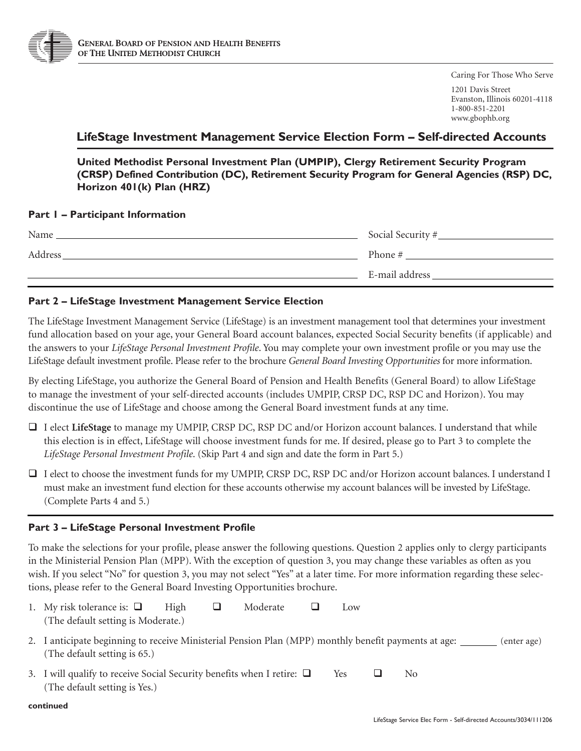

Caring For Those Who Serve

1201 Davis Street Evanston, Illinois 60201-4118 1-800-851-2201 www.gbophb.org

# **LifeStage Investment Management Service Election Form – Self-directed Accounts**

**United Methodist Personal Investment Plan (UMPIP), Clergy Retirement Security Program (CRSP) Defined Contribution (DC), Retirement Security Program for General Agencies (RSP) DC, Horizon 401(k) Plan (HRZ)** 

### **Part 1 – Participant Information**

| Name    | Social Security # |
|---------|-------------------|
| Address | Phone #           |
|         | E-mail address    |

## **Part 2 – LifeStage Investment Management Service Election**

The LifeStage Investment Management Service (LifeStage) is an investment management tool that determines your investment fund allocation based on your age, your General Board account balances, expected Social Security benefits (if applicable) and the answers to your *LifeStage Personal Investment Profile*. You may complete your own investment profile or you may use the LifeStage default investment profile. Please refer to the brochure *General Board Investing Opportunities* for more information.

By electing LifeStage, you authorize the General Board of Pension and Health Benefits (General Board) to allow LifeStage to manage the investment of your self-directed accounts (includes UMPIP, CRSP DC, RSP DC and Horizon). You may discontinue the use of LifeStage and choose among the General Board investment funds at any time.

- □ I elect LifeStage to manage my UMPIP, CRSP DC, RSP DC and/or Horizon account balances. I understand that while this election is in effect, LifeStage will choose investment funds for me. If desired, please go to Part 3 to complete the *LifeStage Personal Investment Profile*. (Skip Part 4 and sign and date the form in Part 5.)
- □ I elect to choose the investment funds for my UMPIP, CRSP DC, RSP DC and/or Horizon account balances. I understand I must make an investment fund election for these accounts otherwise my account balances will be invested by LifeStage. (Complete Parts 4 and 5.)

## **Part 3 – LifeStage Personal Investment Profile**

To make the selections for your profile, please answer the following questions. Question 2 applies only to clergy participants in the Ministerial Pension Plan (MPP). With the exception of question 3, you may change these variables as often as you wish. If you select "No" for question 3, you may not select "Yes" at a later time. For more information regarding these selections, please refer to the General Board Investing Opportunities brochure.

- 1. My risk tolerance is:  $\Box$  High  $\Box$  Moderate  $\Box$  Low (The default setting is Moderate.)
- 2. I anticipate beginning to receive Ministerial Pension Plan (MPP) monthly benefit payments at age: \_\_\_\_\_\_ (enter age) (The default setting is 65.)
- 3. I will qualify to receive Social Security benefits when I retire:  $\Box$  Yes  $\Box$  No (The default setting is Yes.)